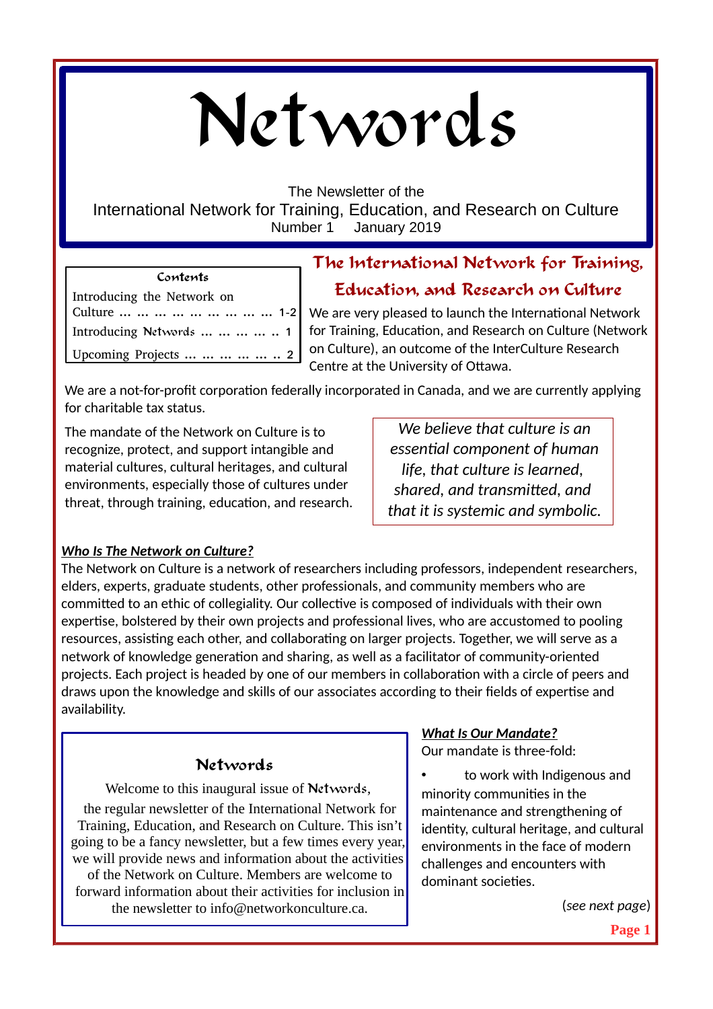# Networds

The Newsletter of the

International Network for Training, Education, and Research on Culture Number 1 January 2019

#### **Contents**

## **The International Network for Training, Education, and Research on Culture**

# Introducing the Network on Culture ... ... ... ... ... ... ... ... ... 1-2 Introducing Networds ... ... ... ... 1 Upcoming Projects ... ... ... ... ... 2

We are very pleased to launch the International Network for Training, Education, and Research on Culture (Network on Culture), an outcome of the InterCulture Research Centre at the University of Ottawa.

We are a not-for-profit corporation federally incorporated in Canada, and we are currently applying for charitable tax status.

The mandate of the Network on Culture is to recognize, protect, and support intangible and material cultures, cultural heritages, and cultural environments, especially those of cultures under threat, through training, education, and research.

*We believe that culture is an essential component of human life, that culture is learned, shared, and transmitted, and that it is systemic and symbolic.*

## *Who Is The Network on Culture?*

The Network on Culture is a network of researchers including professors, independent researchers, elders, experts, graduate students, other professionals, and community members who are committed to an ethic of collegiality. Our collective is composed of individuals with their own expertise, bolstered by their own projects and professional lives, who are accustomed to pooling resources, assisting each other, and collaborating on larger projects. Together, we will serve as a network of knowledge generation and sharing, as well as a facilitator of community-oriented projects. Each project is headed by one of our members in collaboration with a circle of peers and draws upon the knowledge and skills of our associates according to their fields of expertise and availability.

## **Networds**

Welcome to this inaugural issue of Networds,

the regular newsletter of the International Network for Training, Education, and Research on Culture. This isn't going to be a fancy newsletter, but a few times every year, we will provide news and information about the activities of the Network on Culture. Members are welcome to forward information about their activities for inclusion in the newsletter to info@networkonculture.ca.

## *What Is Our Mandate?*

Our mandate is three-fold:

to work with Indigenous and minority communities in the maintenance and strengthening of identity, cultural heritage, and cultural environments in the face of modern challenges and encounters with dominant societies.

(*see next page*)